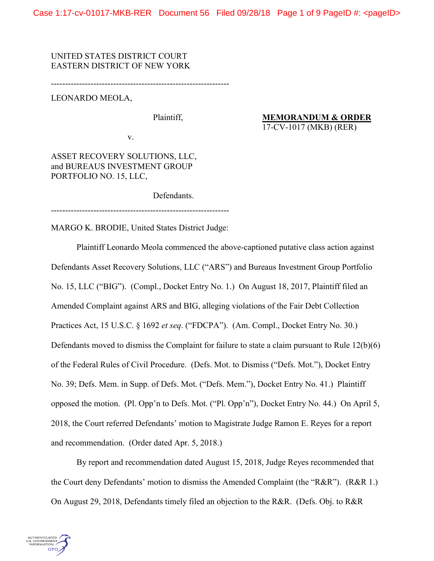UNITED STATES DISTRICT COURT EASTERN DISTRICT OF NEW YORK

---------------------------------------------------------------

LEONARDO MEOLA,

Plaintiff,

v.

**MEMORANDUM & ORDER** 17-CV-1017 (MKB) (RER)

ASSET RECOVERY SOLUTIONS, LLC, and BUREAUS INVESTMENT GROUP PORTFOLIO NO. 15, LLC,

Defendants.

---------------------------------------------------------------

MARGO K. BRODIE, United States District Judge:

Plaintiff Leonardo Meola commenced the above-captioned putative class action against Defendants Asset Recovery Solutions, LLC ("ARS") and Bureaus Investment Group Portfolio No. 15, LLC ("BIG"). (Compl., Docket Entry No. 1.) On August 18, 2017, Plaintiff filed an Amended Complaint against ARS and BIG, alleging violations of the Fair Debt Collection Practices Act, 15 U.S.C. § 1692 *et seq*. ("FDCPA"). (Am. Compl., Docket Entry No. 30.) Defendants moved to dismiss the Complaint for failure to state a claim pursuant to Rule 12(b)(6) of the Federal Rules of Civil Procedure. (Defs. Mot. to Dismiss ("Defs. Mot."), Docket Entry No. 39; Defs. Mem. in Supp. of Defs. Mot. ("Defs. Mem."), Docket Entry No. 41.) Plaintiff opposed the motion. (Pl. Opp'n to Defs. Mot. ("Pl. Opp'n"), Docket Entry No. 44.) On April 5, 2018, the Court referred Defendants' motion to Magistrate Judge Ramon E. Reyes for a report and recommendation. (Order dated Apr. 5, 2018.)

By report and recommendation dated August 15, 2018, Judge Reyes recommended that the Court deny Defendants' motion to dismiss the Amended Complaint (the "R&R"). (R&R 1.) On August 29, 2018, Defendants timely filed an objection to the R&R. (Defs. Obj. to R&R

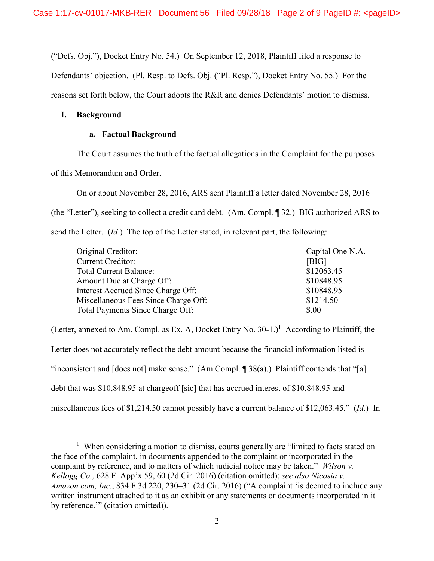("Defs. Obj."), Docket Entry No. 54.) On September 12, 2018, Plaintiff filed a response to

Defendants' objection. (Pl. Resp. to Defs. Obj. ("Pl. Resp."), Docket Entry No. 55.) For the

reasons set forth below, the Court adopts the R&R and denies Defendants' motion to dismiss.

## **I. Background**

 $\overline{a}$ 

## **a. Factual Background**

The Court assumes the truth of the factual allegations in the Complaint for the purposes

of this Memorandum and Order.

On or about November 28, 2016, ARS sent Plaintiff a letter dated November 28, 2016 (the "Letter"), seeking to collect a credit card debt. (Am. Compl. ¶ 32.) BIG authorized ARS to send the Letter. (*Id*.) The top of the Letter stated, in relevant part, the following:

| Original Creditor:                   | Capital One N.A. |
|--------------------------------------|------------------|
| <b>Current Creditor:</b>             | [BIG]            |
| <b>Total Current Balance:</b>        | \$12063.45       |
| Amount Due at Charge Off:            | \$10848.95       |
| Interest Accrued Since Charge Off:   | \$10848.95       |
| Miscellaneous Fees Since Charge Off: | \$1214.50        |
| Total Payments Since Charge Off:     | \$.00            |

(Letter, annexed to Am. Compl. as Ex. A, Docket Entry No.  $30-1$ .)<sup>1</sup> According to Plaintiff, the Letter does not accurately reflect the debt amount because the financial information listed is "inconsistent and  $[does not]$  make sense." (Am Compl.  $[38(a)$ .) Plaintiff contends that "[a] debt that was \$10,848.95 at chargeoff [sic] that has accrued interest of \$10,848.95 and miscellaneous fees of \$1,214.50 cannot possibly have a current balance of \$12,063.45." (*Id.*) In

<sup>&</sup>lt;sup>1</sup> When considering a motion to dismiss, courts generally are "limited to facts stated on the face of the complaint, in documents appended to the complaint or incorporated in the complaint by reference, and to matters of which judicial notice may be taken." *Wilson v. Kellogg Co.*, 628 F. App'x 59, 60 (2d Cir. 2016) (citation omitted); *see also Nicosia v. Amazon.com, Inc.*, 834 F.3d 220, 230–31 (2d Cir. 2016) ("A complaint 'is deemed to include any written instrument attached to it as an exhibit or any statements or documents incorporated in it by reference.'" (citation omitted)).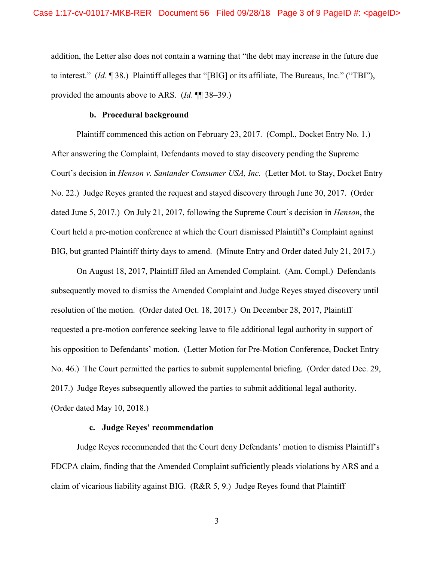addition, the Letter also does not contain a warning that "the debt may increase in the future due to interest." (*Id*. ¶ 38.) Plaintiff alleges that "[BIG] or its affiliate, The Bureaus, Inc." ("TBI"), provided the amounts above to ARS. (*Id*. ¶¶ 38–39.)

#### **b. Procedural background**

Plaintiff commenced this action on February 23, 2017. (Compl., Docket Entry No. 1.) After answering the Complaint, Defendants moved to stay discovery pending the Supreme Court's decision in *Henson v. Santander Consumer USA, Inc.* (Letter Mot. to Stay, Docket Entry No. 22.) Judge Reyes granted the request and stayed discovery through June 30, 2017. (Order dated June 5, 2017.) On July 21, 2017, following the Supreme Court's decision in *Henson*, the Court held a pre-motion conference at which the Court dismissed Plaintiff's Complaint against BIG, but granted Plaintiff thirty days to amend. (Minute Entry and Order dated July 21, 2017.)

On August 18, 2017, Plaintiff filed an Amended Complaint. (Am. Compl.) Defendants subsequently moved to dismiss the Amended Complaint and Judge Reyes stayed discovery until resolution of the motion. (Order dated Oct. 18, 2017.) On December 28, 2017, Plaintiff requested a pre-motion conference seeking leave to file additional legal authority in support of his opposition to Defendants' motion. (Letter Motion for Pre-Motion Conference, Docket Entry No. 46.) The Court permitted the parties to submit supplemental briefing. (Order dated Dec. 29, 2017.) Judge Reyes subsequently allowed the parties to submit additional legal authority. (Order dated May 10, 2018.)

## **c. Judge Reyes' recommendation**

Judge Reyes recommended that the Court deny Defendants' motion to dismiss Plaintiff's FDCPA claim, finding that the Amended Complaint sufficiently pleads violations by ARS and a claim of vicarious liability against BIG. (R&R 5, 9.) Judge Reyes found that Plaintiff

3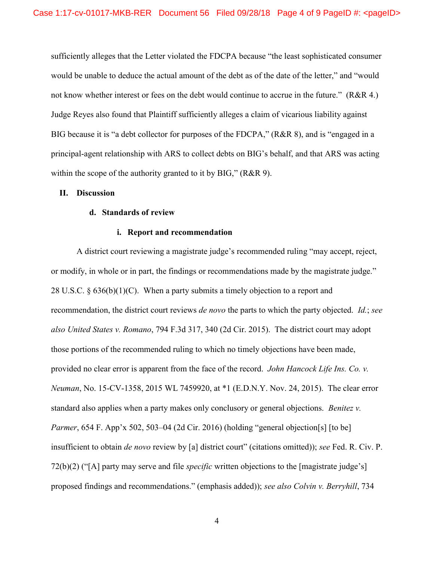sufficiently alleges that the Letter violated the FDCPA because "the least sophisticated consumer would be unable to deduce the actual amount of the debt as of the date of the letter," and "would not know whether interest or fees on the debt would continue to accrue in the future." (R&R 4.) Judge Reyes also found that Plaintiff sufficiently alleges a claim of vicarious liability against BIG because it is "a debt collector for purposes of the FDCPA," (R&R 8), and is "engaged in a principal-agent relationship with ARS to collect debts on BIG's behalf, and that ARS was acting within the scope of the authority granted to it by BIG," (R&R 9).

#### **II. Discussion**

### **d. Standards of review**

### **i. Report and recommendation**

A district court reviewing a magistrate judge's recommended ruling "may accept, reject, or modify, in whole or in part, the findings or recommendations made by the magistrate judge." 28 U.S.C.  $\S 636(b)(1)(C)$ . When a party submits a timely objection to a report and recommendation, the district court reviews *de novo* the parts to which the party objected. *Id.*; *see also United States v. Romano*, 794 F.3d 317, 340 (2d Cir. 2015). The district court may adopt those portions of the recommended ruling to which no timely objections have been made, provided no clear error is apparent from the face of the record. *John Hancock Life Ins. Co. v. Neuman*, No. 15-CV-1358, 2015 WL 7459920, at \*1 (E.D.N.Y. Nov. 24, 2015). The clear error standard also applies when a party makes only conclusory or general objections. *Benitez v. Parmer*, 654 F. App'x 502, 503–04 (2d Cir. 2016) (holding "general objection[s] [to be] insufficient to obtain *de novo* review by [a] district court" (citations omitted)); *see* Fed. R. Civ. P. 72(b)(2) ("[A] party may serve and file *specific* written objections to the [magistrate judge's] proposed findings and recommendations." (emphasis added)); *see also Colvin v. Berryhill*, 734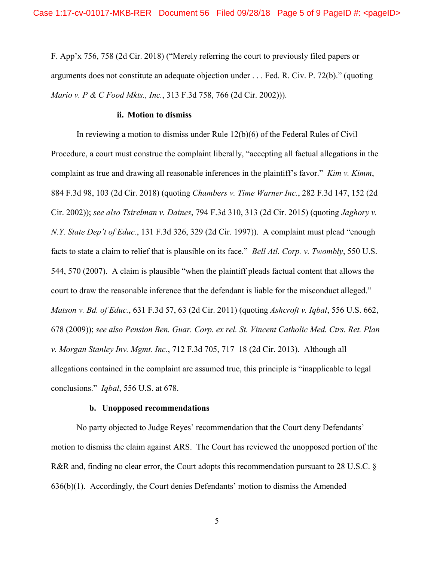F. App'x 756, 758 (2d Cir. 2018) ("Merely referring the court to previously filed papers or arguments does not constitute an adequate objection under . . . Fed. R. Civ. P. 72(b)." (quoting *Mario v. P & C Food Mkts., Inc.*, 313 F.3d 758, 766 (2d Cir. 2002))).

#### **ii. Motion to dismiss**

In reviewing a motion to dismiss under Rule 12(b)(6) of the Federal Rules of Civil Procedure, a court must construe the complaint liberally, "accepting all factual allegations in the complaint as true and drawing all reasonable inferences in the plaintiff's favor." *Kim v. Kimm*, 884 F.3d 98, 103 (2d Cir. 2018) (quoting *Chambers v. Time Warner Inc.*, 282 F.3d 147, 152 (2d Cir. 2002)); *see also Tsirelman v. Daines*, 794 F.3d 310, 313 (2d Cir. 2015) (quoting *Jaghory v. N.Y. State Dep't of Educ.*, 131 F.3d 326, 329 (2d Cir. 1997)). A complaint must plead "enough facts to state a claim to relief that is plausible on its face." *Bell Atl. Corp. v. Twombly*, 550 U.S. 544, 570 (2007). A claim is plausible "when the plaintiff pleads factual content that allows the court to draw the reasonable inference that the defendant is liable for the misconduct alleged." *Matson v. Bd. of Educ.*, 631 F.3d 57, 63 (2d Cir. 2011) (quoting *Ashcroft v. Iqbal*, 556 U.S. 662, 678 (2009)); *see also Pension Ben. Guar. Corp. ex rel. St. Vincent Catholic Med. Ctrs. Ret. Plan v. Morgan Stanley Inv. Mgmt. Inc.*, 712 F.3d 705, 717–18 (2d Cir. 2013). Although all allegations contained in the complaint are assumed true, this principle is "inapplicable to legal conclusions." *Iqbal*, 556 U.S. at 678.

#### **b. Unopposed recommendations**

No party objected to Judge Reyes' recommendation that the Court deny Defendants' motion to dismiss the claim against ARS. The Court has reviewed the unopposed portion of the R&R and, finding no clear error, the Court adopts this recommendation pursuant to 28 U.S.C. § 636(b)(1). Accordingly, the Court denies Defendants' motion to dismiss the Amended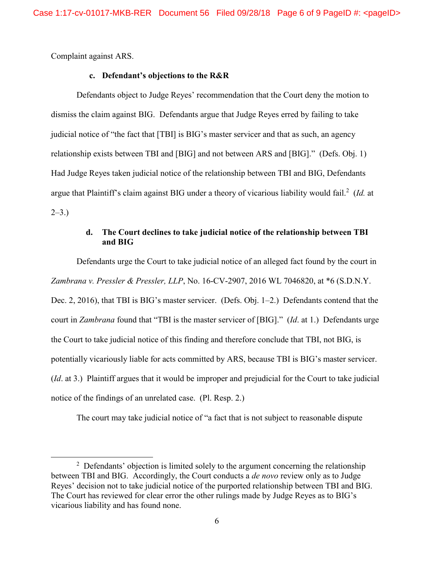Complaint against ARS.

 $\overline{a}$ 

## **c. Defendant's objections to the R&R**

Defendants object to Judge Reyes' recommendation that the Court deny the motion to dismiss the claim against BIG. Defendants argue that Judge Reyes erred by failing to take judicial notice of "the fact that [TBI] is BIG's master servicer and that as such, an agency relationship exists between TBI and [BIG] and not between ARS and [BIG]." (Defs. Obj. 1) Had Judge Reyes taken judicial notice of the relationship between TBI and BIG, Defendants argue that Plaintiff's claim against BIG under a theory of vicarious liability would fail.<sup>2</sup> (*Id.* at  $2-3.$ )

# **d. The Court declines to take judicial notice of the relationship between TBI and BIG**

Defendants urge the Court to take judicial notice of an alleged fact found by the court in *Zambrana v. Pressler & Pressler, LLP*, No. 16-CV-2907, 2016 WL 7046820, at \*6 (S.D.N.Y. Dec. 2, 2016), that TBI is BIG's master servicer. (Defs. Obj. 1–2.) Defendants contend that the court in *Zambrana* found that "TBI is the master servicer of [BIG]." (*Id*. at 1.) Defendants urge the Court to take judicial notice of this finding and therefore conclude that TBI, not BIG, is potentially vicariously liable for acts committed by ARS, because TBI is BIG's master servicer. (*Id*. at 3.) Plaintiff argues that it would be improper and prejudicial for the Court to take judicial notice of the findings of an unrelated case. (Pl. Resp. 2.)

The court may take judicial notice of "a fact that is not subject to reasonable dispute

 $2$  Defendants' objection is limited solely to the argument concerning the relationship between TBI and BIG. Accordingly, the Court conducts a *de novo* review only as to Judge Reyes' decision not to take judicial notice of the purported relationship between TBI and BIG. The Court has reviewed for clear error the other rulings made by Judge Reyes as to BIG's vicarious liability and has found none.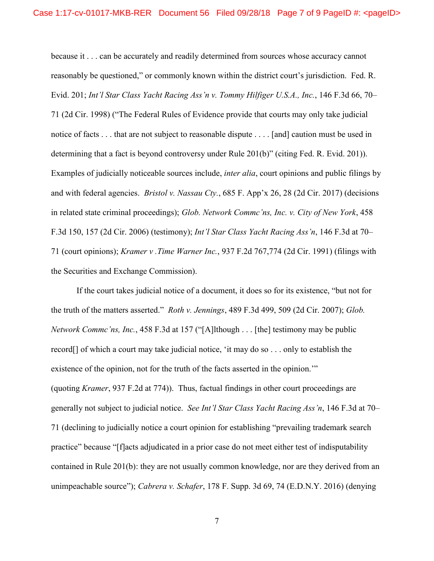because it . . . can be accurately and readily determined from sources whose accuracy cannot reasonably be questioned," or commonly known within the district court's jurisdiction. Fed. R. Evid. 201; *Int'l Star Class Yacht Racing Ass'n v. Tommy Hilfiger U.S.A., Inc.*, 146 F.3d 66, 70– 71 (2d Cir. 1998) ("The Federal Rules of Evidence provide that courts may only take judicial notice of facts . . . that are not subject to reasonable dispute . . . . [and] caution must be used in determining that a fact is beyond controversy under Rule 201(b)" (citing Fed. R. Evid. 201)). Examples of judicially noticeable sources include, *inter alia*, court opinions and public filings by and with federal agencies. *Bristol v. Nassau Cty.*, 685 F. App'x 26, 28 (2d Cir. 2017) (decisions in related state criminal proceedings); *Glob. Network Commc'ns, Inc. v. City of New York*, 458 F.3d 150, 157 (2d Cir. 2006) (testimony); *Int'l Star Class Yacht Racing Ass'n*, 146 F.3d at 70– 71 (court opinions); *Kramer v .Time Warner Inc.*, 937 F.2d 767,774 (2d Cir. 1991) (filings with the Securities and Exchange Commission).

If the court takes judicial notice of a document, it does so for its existence, "but not for the truth of the matters asserted." *Roth v. Jennings*, 489 F.3d 499, 509 (2d Cir. 2007); *Glob. Network Commc'ns, Inc.*, 458 F.3d at 157 ("[A]lthough . . . [the] testimony may be public record[] of which a court may take judicial notice, 'it may do so . . . only to establish the existence of the opinion, not for the truth of the facts asserted in the opinion." (quoting *Kramer*, 937 F.2d at 774)). Thus, factual findings in other court proceedings are generally not subject to judicial notice. *See Int'l Star Class Yacht Racing Ass'n*, 146 F.3d at 70– 71 (declining to judicially notice a court opinion for establishing "prevailing trademark search practice" because "[f]acts adjudicated in a prior case do not meet either test of indisputability contained in Rule 201(b): they are not usually common knowledge, nor are they derived from an unimpeachable source"); *Cabrera v. Schafer*, 178 F. Supp. 3d 69, 74 (E.D.N.Y. 2016) (denying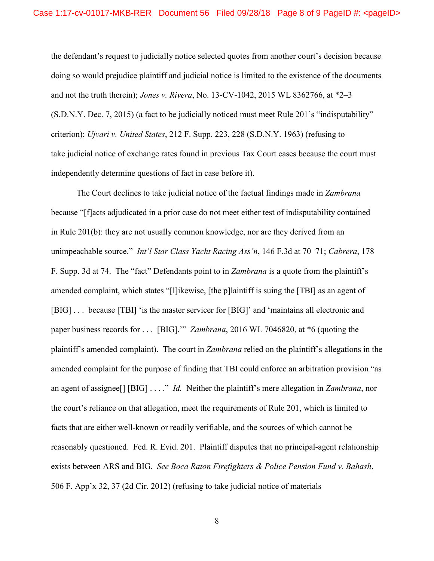the defendant's request to judicially notice selected quotes from another court's decision because doing so would prejudice plaintiff and judicial notice is limited to the existence of the documents and not the truth therein); *Jones v. Rivera*, No. 13-CV-1042, 2015 WL 8362766, at \*2–3 (S.D.N.Y. Dec. 7, 2015) (a fact to be judicially noticed must meet Rule 201's "indisputability" criterion); *Ujvari v. United States*, 212 F. Supp. 223, 228 (S.D.N.Y. 1963) (refusing to take judicial notice of exchange rates found in previous Tax Court cases because the court must independently determine questions of fact in case before it).

The Court declines to take judicial notice of the factual findings made in *Zambrana*  because "[f]acts adjudicated in a prior case do not meet either test of indisputability contained in Rule 201(b): they are not usually common knowledge, nor are they derived from an unimpeachable source." *Int'l Star Class Yacht Racing Ass'n*, 146 F.3d at 70–71; *Cabrera*, 178 F. Supp. 3d at 74. The "fact" Defendants point to in *Zambrana* is a quote from the plaintiff's amended complaint, which states "[l]ikewise, [the p]laintiff is suing the [TBI] as an agent of [BIG] . . . because [TBI] 'is the master servicer for [BIG]' and 'maintains all electronic and paper business records for . . . [BIG].'" *Zambrana*, 2016 WL 7046820, at \*6 (quoting the plaintiff's amended complaint). The court in *Zambrana* relied on the plaintiff's allegations in the amended complaint for the purpose of finding that TBI could enforce an arbitration provision "as an agent of assignee[] [BIG] . . . ." *Id.* Neither the plaintiff's mere allegation in *Zambrana*, nor the court's reliance on that allegation, meet the requirements of Rule 201, which is limited to facts that are either well-known or readily verifiable, and the sources of which cannot be reasonably questioned. Fed. R. Evid. 201. Plaintiff disputes that no principal-agent relationship exists between ARS and BIG. *See Boca Raton Firefighters & Police Pension Fund v. Bahash*, 506 F. App'x 32, 37 (2d Cir. 2012) (refusing to take judicial notice of materials

8